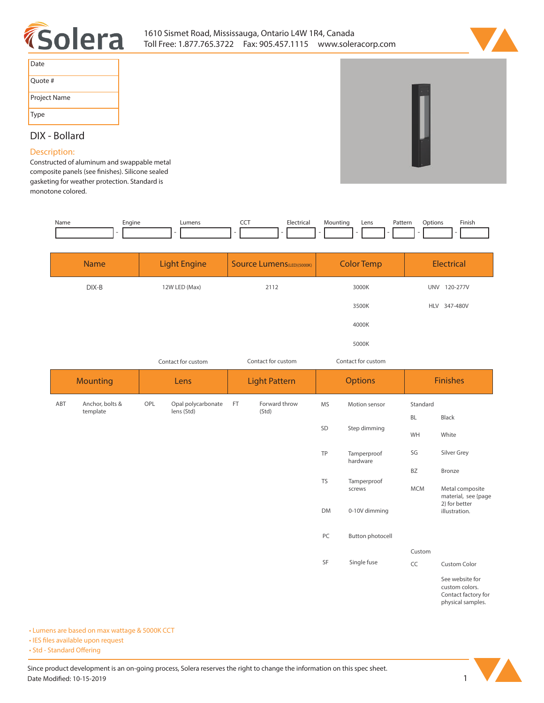



| Date         |
|--------------|
| Ouote #      |
| Project Name |
| Type         |

# **DIX - Bollard**

### **Description:**

**Constructed of aluminum and swappable metal**  composite panels (see finishes). Silicone sealed **gasketing for weather protection. Standard is monotone colored.**

| Name | Engine | umen: | --- | Electrical | Mountinc | Lens | Pattern | Options | Finish |
|------|--------|-------|-----|------------|----------|------|---------|---------|--------|
|      |        |       |     |            |          |      |         |         |        |

| <b>Name</b> | <b>Light Engine</b> | <b>Source Lumens (LED)(5000K)</b> | <b>Color Temp</b> | Electrical             |
|-------------|---------------------|-----------------------------------|-------------------|------------------------|
| DIX-B       | 12W LED (Max)       | 2112                              | 3000K             | 120-277V<br><b>UNV</b> |
|             |                     |                                   | 3500K             | HLV 347-480V           |
|             |                     |                                   | 4000K             |                        |
|             |                     |                                   | 5000K             |                        |

*Contact for custom*

*Contact for custom Contact for custom*

| Contact for custom |                             |      | CONTACTION CUSTOM                |                      |                        | CONTACTION CUSTOM |                                        |                 |                                        |
|--------------------|-----------------------------|------|----------------------------------|----------------------|------------------------|-------------------|----------------------------------------|-----------------|----------------------------------------|
| <b>Mounting</b>    |                             | Lens |                                  | <b>Light Pattern</b> |                        | <b>Options</b>    |                                        | <b>Finishes</b> |                                        |
| ABT                | Anchor, bolts &<br>template | OPL  | Opal polycarbonate<br>lens (Std) | FT                   | Forward throw<br>(Std) | MS                | Motion sensor                          | Standard        |                                        |
|                    |                             |      |                                  |                      |                        |                   | Step dimming                           | BL              | Black                                  |
|                    |                             |      |                                  |                      |                        | SD                |                                        | WH              | White                                  |
|                    |                             |      |                                  |                      |                        | TP                | Tamperproof<br>hardware                | SG              | Silver Grey                            |
|                    |                             |      |                                  |                      |                        |                   |                                        | BZ              | Bronze                                 |
|                    |                             |      |                                  |                      |                        | TS                | Tamperproof<br>screws<br>0-10V dimming | <b>MCM</b>      | Metal composite<br>material, see {page |
|                    |                             |      |                                  |                      |                        | <b>DM</b>         |                                        |                 | 2} for better<br>illustration.         |
|                    |                             |      |                                  |                      |                        | PC                | Button photocell                       |                 |                                        |
|                    |                             |      |                                  |                      |                        |                   |                                        | Custom          |                                        |
|                    |                             |      |                                  |                      |                        | SF                | Single fuse                            | CC              | <b>Custom Color</b>                    |
|                    |                             |      |                                  |                      |                        |                   |                                        |                 | See website for                        |

**custom colors. Contact factory for physical samples.** 

**• Lumens are based on max wattage & 5000K CCT**

**• IES files available upon request** 

• Std - Standard Offering